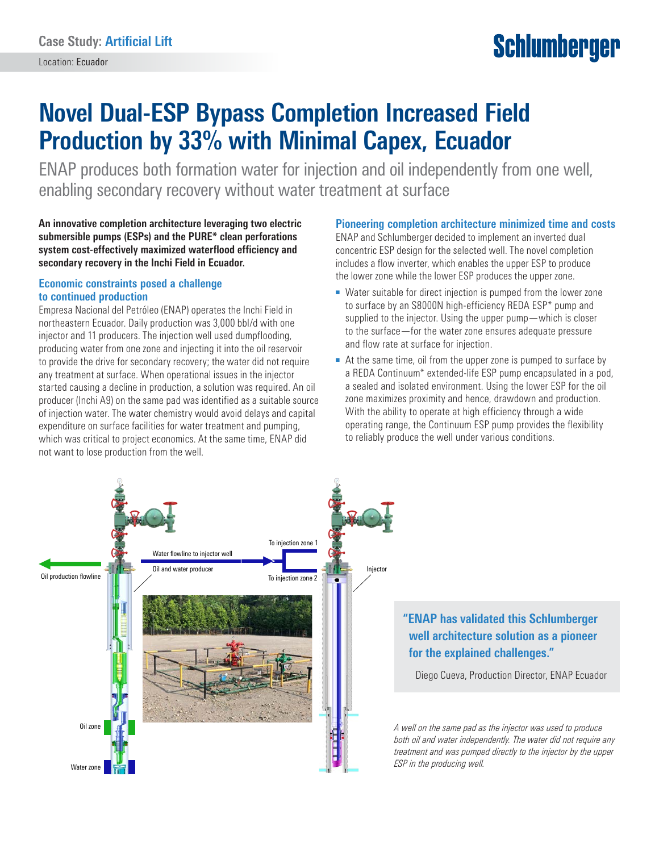# **Schlumberger**

## **Novel Dual-ESP Bypass Completion Increased Field Production by 33% with Minimal Capex, Ecuador**

ENAP produces both formation water for injection and oil independently from one well, enabling secondary recovery without water treatment at surface

**An innovative completion architecture leveraging two electric submersible pumps (ESPs) and the PURE\* clean perforations system cost-effectively maximized waterflood efficiency and secondary recovery in the Inchi Field in Ecuador.**

#### **Economic constraints posed a challenge to continued production**

Empresa Nacional del Petróleo (ENAP) operates the Inchi Field in northeastern Ecuador. Daily production was 3,000 bbl/d with one injector and 11 producers. The injection well used dumpflooding, producing water from one zone and injecting it into the oil reservoir to provide the drive for secondary recovery; the water did not require any treatment at surface. When operational issues in the injector started causing a decline in production, a solution was required. An oil producer (Inchi A9) on the same pad was identified as a suitable source of injection water. The water chemistry would avoid delays and capital expenditure on surface facilities for water treatment and pumping, which was critical to project economics. At the same time, ENAP did not want to lose production from the well.

#### **Pioneering completion architecture minimized time and costs**

ENAP and Schlumberger decided to implement an inverted dual concentric ESP design for the selected well. The novel completion includes a flow inverter, which enables the upper ESP to produce the lower zone while the lower ESP produces the upper zone.

- Water suitable for direct injection is pumped from the lower zone to surface by an S8000N high-efficiency REDA ESP\* pump and supplied to the injector. Using the upper pump—which is closer to the surface—for the water zone ensures adequate pressure and flow rate at surface for injection.
- At the same time, oil from the upper zone is pumped to surface by a REDA Continuum\* extended-life ESP pump encapsulated in a pod, a sealed and isolated environment. Using the lower ESP for the oil zone maximizes proximity and hence, drawdown and production. With the ability to operate at high efficiency through a wide operating range, the Continuum ESP pump provides the flexibility to reliably produce the well under various conditions.